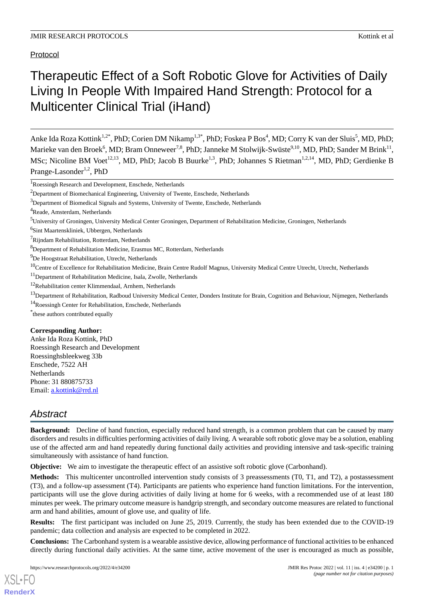Protocol

# Therapeutic Effect of a Soft Robotic Glove for Activities of Daily Living In People With Impaired Hand Strength: Protocol for a Multicenter Clinical Trial (iHand)

Anke Ida Roza Kottink<sup>1,2\*</sup>, PhD; Corien DM Nikamp<sup>1,3\*</sup>, PhD; Foskea P Bos<sup>4</sup>, MD; Corry K van der Sluis<sup>5</sup>, MD, PhD; Marieke van den Broek<sup>6</sup>, MD; Bram Onneweer<sup>7,8</sup>, PhD; Janneke M Stolwijk-Swüste<sup>9,10</sup>, MD, PhD; Sander M Brink<sup>11</sup>, MSc; Nicoline BM Voet<sup>12,13</sup>, MD, PhD; Jacob B Buurke<sup>1,3</sup>, PhD; Johannes S Rietman<sup>1,2,14</sup>, MD, PhD; Gerdienke B Prange-Lasonder<sup>1,2</sup>, PhD

\* these authors contributed equally

# **Corresponding Author:**

Anke Ida Roza Kottink, PhD Roessingh Research and Development Roessinghsbleekweg 33b Enschede, 7522 AH **Netherlands** Phone: 31 880875733 Email: [a.kottink@rrd.nl](mailto:a.kottink@rrd.nl)

# *Abstract*

[XSL](http://www.w3.org/Style/XSL)•FO **[RenderX](http://www.renderx.com/)**

**Background:** Decline of hand function, especially reduced hand strength, is a common problem that can be caused by many disorders and results in difficulties performing activities of daily living. A wearable soft robotic glove may be a solution, enabling use of the affected arm and hand repeatedly during functional daily activities and providing intensive and task-specific training simultaneously with assistance of hand function.

**Objective:** We aim to investigate the therapeutic effect of an assistive soft robotic glove (Carbonhand).

**Methods:** This multicenter uncontrolled intervention study consists of 3 preassessments (T0, T1, and T2), a postassessment (T3), and a follow-up assessment (T4). Participants are patients who experience hand function limitations. For the intervention, participants will use the glove during activities of daily living at home for 6 weeks, with a recommended use of at least 180 minutes per week. The primary outcome measure is handgrip strength, and secondary outcome measures are related to functional arm and hand abilities, amount of glove use, and quality of life.

**Results:** The first participant was included on June 25, 2019. Currently, the study has been extended due to the COVID-19 pandemic; data collection and analysis are expected to be completed in 2022.

**Conclusions:** The Carbonhand system is a wearable assistive device, allowing performance of functional activities to be enhanced directly during functional daily activities. At the same time, active movement of the user is encouraged as much as possible,

<sup>&</sup>lt;sup>1</sup>Roessingh Research and Development, Enschede, Netherlands

<sup>&</sup>lt;sup>2</sup>Department of Biomechanical Engineering, University of Twente, Enschede, Netherlands

<sup>&</sup>lt;sup>3</sup>Department of Biomedical Signals and Systems, University of Twente, Enschede, Netherlands

<sup>4</sup>Reade, Amsterdam, Netherlands

<sup>5</sup>University of Groningen, University Medical Center Groningen, Department of Rehabilitation Medicine, Groningen, Netherlands

<sup>&</sup>lt;sup>6</sup>Sint Maartenskliniek, Ubbergen, Netherlands

<sup>7</sup>Rijndam Rehabilitation, Rotterdam, Netherlands

<sup>8</sup>Department of Rehabilitation Medicine, Erasmus MC, Rotterdam, Netherlands

<sup>9</sup>De Hoogstraat Rehabilitation, Utrecht, Netherlands

 $10$ Centre of Excellence for Rehabilitation Medicine, Brain Centre Rudolf Magnus, University Medical Centre Utrecht, Utrecht, Netherlands

<sup>&</sup>lt;sup>11</sup>Department of Rehabilitation Medicine, Isala, Zwolle, Netherlands

<sup>&</sup>lt;sup>12</sup>Rehabilitation center Klimmendaal, Arnhem, Netherlands

<sup>&</sup>lt;sup>13</sup>Department of Rehabilitation, Radboud University Medical Center, Donders Institute for Brain, Cognition and Behaviour, Nijmegen, Netherlands

<sup>&</sup>lt;sup>14</sup>Roessingh Center for Rehabilitation, Enschede, Netherlands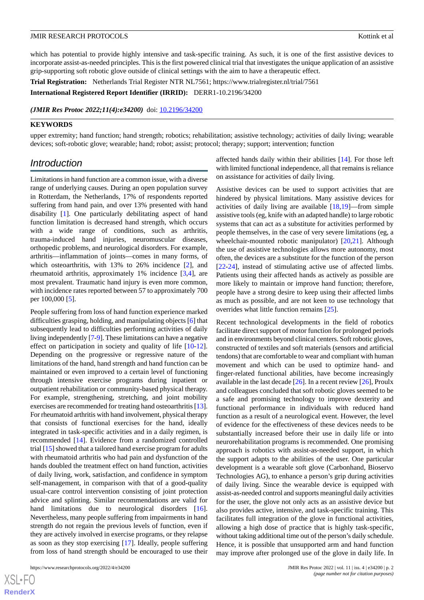which has potential to provide highly intensive and task-specific training. As such, it is one of the first assistive devices to incorporate assist-as-needed principles. This is the first powered clinical trial that investigates the unique application of an assistive grip-supporting soft robotic glove outside of clinical settings with the aim to have a therapeutic effect.

**Trial Registration:** Netherlands Trial Register NTR NL7561; https://www.trialregister.nl/trial/7561

**International Registered Report Identifier (IRRID):** DERR1-10.2196/34200

(**JMIR Res Protoc 2022;11(4):e34200**) doi:  $10.2196/34200$ 

#### **KEYWORDS**

upper extremity; hand function; hand strength; robotics; rehabilitation; assistive technology; activities of daily living; wearable devices; soft-robotic glove; wearable; hand; robot; assist; protocol; therapy; support; intervention; function

# *Introduction*

Limitations in hand function are a common issue, with a diverse range of underlying causes. During an open population survey in Rotterdam, the Netherlands, 17% of respondents reported suffering from hand pain, and over 13% presented with hand disability [\[1](#page-9-0)]. One particularly debilitating aspect of hand function limitation is decreased hand strength, which occurs with a wide range of conditions, such as arthritis, trauma-induced hand injuries, neuromuscular diseases, orthopedic problems, and neurological disorders. For example, arthritis—inflammation of joints—comes in many forms, of which osteoarthritis, with 13% to 26% incidence [\[2](#page-9-1)], and rheumatoid arthritis, approximately 1% incidence [[3,](#page-9-2)[4](#page-9-3)], are most prevalent. Traumatic hand injury is even more common, with incidence rates reported between 57 to approximately 700 per 100,000 [\[5](#page-9-4)].

People suffering from loss of hand function experience marked difficulties grasping, holding, and manipulating objects [\[6](#page-9-5)] that subsequently lead to difficulties performing activities of daily living independently [[7](#page-9-6)-[9\]](#page-9-7). These limitations can have a negative effect on participation in society and quality of life [\[10](#page-9-8)-[12\]](#page-9-9). Depending on the progressive or regressive nature of the limitations of the hand, hand strength and hand function can be maintained or even improved to a certain level of functioning through intensive exercise programs during inpatient or outpatient rehabilitation or community-based physical therapy. For example, strengthening, stretching, and joint mobility exercises are recommended for treating hand osteoarthritis [\[13\]](#page-10-0). For rheumatoid arthritis with hand involvement, physical therapy that consists of functional exercises for the hand, ideally integrated in task-specific activities and in a daily regimen, is recommended [[14\]](#page-10-1). Evidence from a randomized controlled trial [\[15](#page-10-2)] showed that a tailored hand exercise program for adults with rheumatoid arthritis who had pain and dysfunction of the hands doubled the treatment effect on hand function, activities of daily living, work, satisfaction, and confidence in symptom self-management, in comparison with that of a good-quality usual-care control intervention consisting of joint protection advice and splinting. Similar recommendations are valid for hand limitations due to neurological disorders [[16\]](#page-10-3). Nevertheless, many people suffering from impairments in hand strength do not regain the previous levels of function, even if they are actively involved in exercise programs, or they relapse as soon as they stop exercising [\[17](#page-10-4)]. Ideally, people suffering from loss of hand strength should be encouraged to use their

 $XS$  $\cdot$ FC **[RenderX](http://www.renderx.com/)** affected hands daily within their abilities [\[14](#page-10-1)]. For those left with limited functional independence, all that remains is reliance on assistance for activities of daily living.

Assistive devices can be used to support activities that are hindered by physical limitations. Many assistive devices for activities of daily living are available [[18,](#page-10-5)[19](#page-10-6)]—from simple assistive tools (eg, knife with an adapted handle) to large robotic systems that can act as a substitute for activities performed by people themselves, in the case of very severe limitations (eg, a wheelchair-mounted robotic manipulator) [\[20](#page-10-7),[21\]](#page-10-8). Although the use of assistive technologies allows more autonomy, most often, the devices are a substitute for the function of the person [[22](#page-10-9)[-24](#page-10-10)], instead of stimulating active use of affected limbs. Patients using their affected hands as actively as possible are more likely to maintain or improve hand function; therefore, people have a strong desire to keep using their affected limbs as much as possible, and are not keen to use technology that overrides what little function remains [\[25](#page-10-11)].

Recent technological developments in the field of robotics facilitate direct support of motor function for prolonged periods and in environments beyond clinical centers. Soft robotic gloves, constructed of textiles and soft materials (sensors and artificial tendons) that are comfortable to wear and compliant with human movement and which can be used to optimize hand- and finger-related functional abilities, have become increasingly available in the last decade [[26\]](#page-10-12). In a recent review [\[26](#page-10-12)], Proulx and colleagues concluded that soft robotic gloves seemed to be a safe and promising technology to improve dexterity and functional performance in individuals with reduced hand function as a result of a neurological event. However, the level of evidence for the effectiveness of these devices needs to be substantially increased before their use in daily life or into neurorehabilitation programs is recommended. One promising approach is robotics with assist-as-needed support, in which the support adapts to the abilities of the user. One particular development is a wearable soft glove (Carbonhand, Bioservo Technologies AG), to enhance a person's grip during activities of daily living. Since the wearable device is equipped with assist-as-needed control and supports meaningful daily activities for the user, the glove not only acts as an assistive device but also provides active, intensive, and task-specific training. This facilitates full integration of the glove in functional activities, allowing a high dose of practice that is highly task-specific, without taking additional time out of the person's daily schedule. Hence, it is possible that unsupported arm and hand function may improve after prolonged use of the glove in daily life. In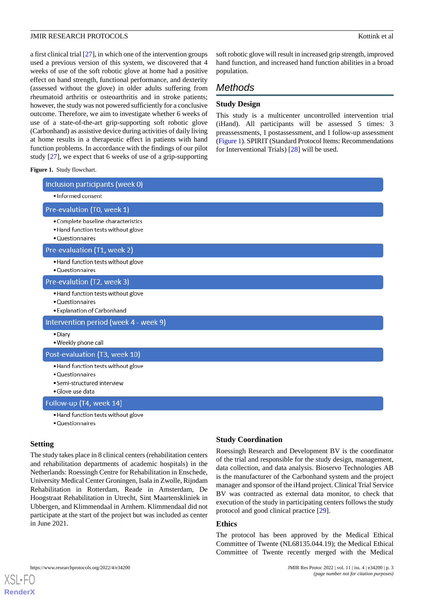soft robotic glove will result in increased grip strength, improved hand function, and increased hand function abilities in a broad

This study is a multicenter uncontrolled intervention trial (iHand). All participants will be assessed 5 times: 3 preassessments, 1 postassessment, and 1 follow-up assessment ([Figure 1](#page-2-0)). SPIRIT (Standard Protocol Items: Recommendations

for Interventional Trials) [\[28](#page-10-14)] will be used.

a first clinical trial [[27\]](#page-10-13), in which one of the intervention groups used a previous version of this system, we discovered that 4 weeks of use of the soft robotic glove at home had a positive effect on hand strength, functional performance, and dexterity (assessed without the glove) in older adults suffering from rheumatoid arthritis or osteoarthritis and in stroke patients; however, the study was not powered sufficiently for a conclusive outcome. Therefore, we aim to investigate whether 6 weeks of use of a state-of-the-art grip-supporting soft robotic glove (Carbonhand) as assistive device during activities of daily living at home results in a therapeutic effect in patients with hand function problems. In accordance with the findings of our pilot study [\[27](#page-10-13)], we expect that 6 weeks of use of a grip-supporting

<span id="page-2-0"></span>**Figure 1.** Study flowchart.

| Inclusion participants (week 0)                                                                            |  |
|------------------------------------------------------------------------------------------------------------|--|
| · Informed consent                                                                                         |  |
| Pre-evalution (T0, week 1)                                                                                 |  |
| • Complete baseline characteristics<br>. Hand function tests without glove<br>• Questionnaires             |  |
| Pre-evaluation (T1, week 2)                                                                                |  |
| • Hand function tests without glove<br>• Questionnaires                                                    |  |
| Pre-evalution (T2, week 3)                                                                                 |  |
| . Hand function tests without glove<br>• Questionnaires<br>• Explanation of Carbonhand                     |  |
| Intervention period (week 4 - week 9)                                                                      |  |
| • Diary<br>. Weekly phone call                                                                             |  |
| Post-evaluation (T3, week 10)                                                                              |  |
| . Hand function tests without glove<br>• Questionnaires<br>· Semi-structured interview<br>• Glove use data |  |
| Follow-up (T4, week 14)                                                                                    |  |
| . Hand function tests without glove                                                                        |  |

population.

*Methods*

**Study Design**

· Questionnaires

#### **Setting**

[XSL](http://www.w3.org/Style/XSL)•FO **[RenderX](http://www.renderx.com/)**

The study takes place in 8 clinical centers (rehabilitation centers and rehabilitation departments of academic hospitals) in the Netherlands: Roessingh Centre for Rehabilitation in Enschede, University Medical Center Groningen, Isala in Zwolle, Rijndam Rehabilitation in Rotterdam, Reade in Amsterdam, De Hoogstraat Rehabilitation in Utrecht, Sint Maartenskliniek in Ubbergen, and Klimmendaal in Arnhem. Klimmendaal did not participate at the start of the project but was included as center in June 2021.

# **Study Coordination**

Roessingh Research and Development BV is the coordinator of the trial and responsible for the study design, management, data collection, and data analysis. Bioservo Technologies AB is the manufacturer of the Carbonhand system and the project manager and sponsor of the iHand project. Clinical Trial Service BV was contracted as external data monitor, to check that execution of the study in participating centers follows the study protocol and good clinical practice [\[29](#page-10-15)].

#### **Ethics**

The protocol has been approved by the Medical Ethical Committee of Twente (NL68135.044.19); the Medical Ethical Committee of Twente recently merged with the Medical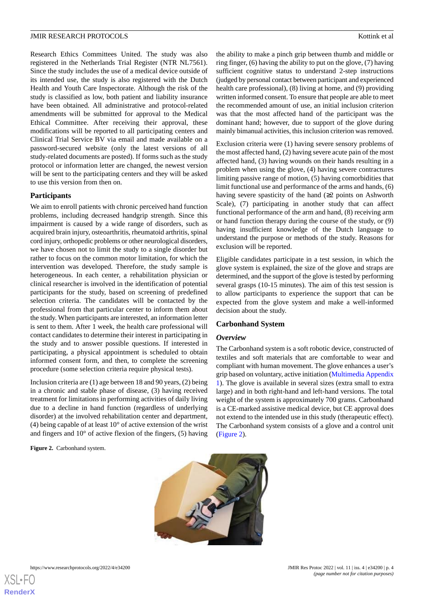Research Ethics Committees United. The study was also registered in the Netherlands Trial Register (NTR NL7561). Since the study includes the use of a medical device outside of its intended use, the study is also registered with the Dutch Health and Youth Care Inspectorate. Although the risk of the study is classified as low, both patient and liability insurance have been obtained. All administrative and protocol-related amendments will be submitted for approval to the Medical Ethical Committee. After receiving their approval, these modifications will be reported to all participating centers and Clinical Trial Service BV via email and made available on a password-secured website (only the latest versions of all study-related documents are posted). If forms such as the study protocol or information letter are changed, the newest version will be sent to the participating centers and they will be asked to use this version from then on.

#### **Participants**

We aim to enroll patients with chronic perceived hand function problems, including decreased handgrip strength. Since this impairment is caused by a wide range of disorders, such as acquired brain injury, osteoarthritis, rheumatoid arthritis, spinal cord injury, orthopedic problems or other neurological disorders, we have chosen not to limit the study to a single disorder but rather to focus on the common motor limitation, for which the intervention was developed. Therefore, the study sample is heterogeneous. In each center, a rehabilitation physician or clinical researcher is involved in the identification of potential participants for the study, based on screening of predefined selection criteria. The candidates will be contacted by the professional from that particular center to inform them about the study. When participants are interested, an information letter is sent to them. After 1 week, the health care professional will contact candidates to determine their interest in participating in the study and to answer possible questions. If interested in participating, a physical appointment is scheduled to obtain informed consent form, and then, to complete the screening procedure (some selection criteria require physical tests).

<span id="page-3-0"></span>Inclusion criteria are (1) age between 18 and 90 years, (2) being in a chronic and stable phase of disease, (3) having received treatment for limitations in performing activities of daily living due to a decline in hand function (regardless of underlying disorder) at the involved rehabilitation center and department, (4) being capable of at least 10° of active extension of the wrist and fingers and 10° of active flexion of the fingers, (5) having

**Figure 2.** Carbonhand system.

the ability to make a pinch grip between thumb and middle or ring finger, (6) having the ability to put on the glove, (7) having sufficient cognitive status to understand 2-step instructions (judged by personal contact between participant and experienced health care professional), (8) living at home, and (9) providing written informed consent. To ensure that people are able to meet the recommended amount of use, an initial inclusion criterion was that the most affected hand of the participant was the dominant hand; however, due to support of the glove during mainly bimanual activities, this inclusion criterion was removed.

Exclusion criteria were (1) having severe sensory problems of the most affected hand, (2) having severe acute pain of the most affected hand, (3) having wounds on their hands resulting in a problem when using the glove, (4) having severe contractures limiting passive range of motion, (5) having comorbidities that limit functional use and performance of the arms and hands, (6) having severe spasticity of the hand  $(\geq 2)$  points on Ashworth Scale), (7) participating in another study that can affect functional performance of the arm and hand, (8) receiving arm or hand function therapy during the course of the study, or (9) having insufficient knowledge of the Dutch language to understand the purpose or methods of the study. Reasons for exclusion will be reported.

Eligible candidates participate in a test session, in which the glove system is explained, the size of the glove and straps are determined, and the support of the glove is tested by performing several grasps (10-15 minutes). The aim of this test session is to allow participants to experience the support that can be expected from the glove system and make a well-informed decision about the study.

#### **Carbonhand System**

#### *Overview*

The Carbonhand system is a soft robotic device, constructed of textiles and soft materials that are comfortable to wear and compliant with human movement. The glove enhances a user's grip based on voluntary, active initiation ([Multimedia Appendix](#page-9-10) [1\)](#page-9-10). The glove is available in several sizes (extra small to extra large) and in both right-hand and left-hand versions. The total weight of the system is approximately 700 grams. Carbonhand is a CE-marked assistive medical device, but CE approval does not extend to the intended use in this study (therapeutic effect). The Carbonhand system consists of a glove and a control unit ([Figure 2\)](#page-3-0).



[XSL](http://www.w3.org/Style/XSL)•FO **[RenderX](http://www.renderx.com/)**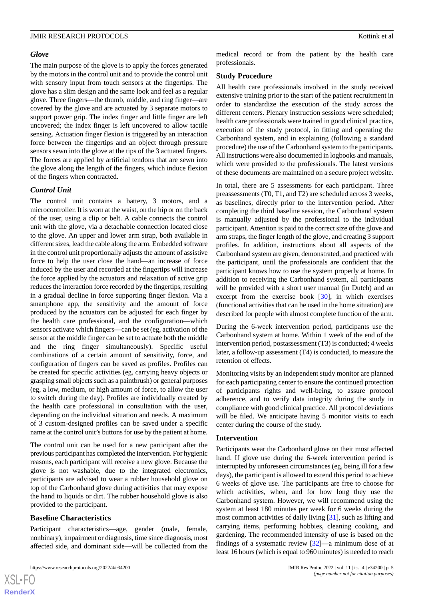#### *Glove*

The main purpose of the glove is to apply the forces generated by the motors in the control unit and to provide the control unit with sensory input from touch sensors at the fingertips. The glove has a slim design and the same look and feel as a regular glove. Three fingers—the thumb, middle, and ring finger—are covered by the glove and are actuated by 3 separate motors to support power grip. The index finger and little finger are left uncovered; the index finger is left uncovered to allow tactile sensing. Actuation finger flexion is triggered by an interaction force between the fingertips and an object through pressure sensors sewn into the glove at the tips of the 3 actuated fingers. The forces are applied by artificial tendons that are sewn into the glove along the length of the fingers, which induce flexion of the fingers when contracted.

#### *Control Unit*

The control unit contains a battery, 3 motors, and a microcontroller. It is worn at the waist, on the hip or on the back of the user, using a clip or belt. A cable connects the control unit with the glove, via a detachable connection located close to the glove. An upper and lower arm strap, both available in different sizes, lead the cable along the arm. Embedded software in the control unit proportionally adjusts the amount of assistive force to help the user close the hand—an increase of force induced by the user and recorded at the fingertips will increase the force applied by the actuators and relaxation of active grip reduces the interaction force recorded by the fingertips, resulting in a gradual decline in force supporting finger flexion. Via a smartphone app, the sensitivity and the amount of force produced by the actuators can be adjusted for each finger by the health care professional, and the configuration—which sensors activate which fingers—can be set (eg, activation of the sensor at the middle finger can be set to actuate both the middle and the ring finger simultaneously). Specific useful combinations of a certain amount of sensitivity, force, and configuration of fingers can be saved as profiles. Profiles can be created for specific activities (eg, carrying heavy objects or grasping small objects such as a paintbrush) or general purposes (eg, a low, medium, or high amount of force, to allow the user to switch during the day). Profiles are individually created by the health care professional in consultation with the user, depending on the individual situation and needs. A maximum of 3 custom-designed profiles can be saved under a specific name at the control unit's buttons for use by the patient at home.

The control unit can be used for a new participant after the previous participant has completed the intervention. For hygienic reasons, each participant will receive a new glove. Because the glove is not washable, due to the integrated electronics, participants are advised to wear a rubber household glove on top of the Carbonhand glove during activities that may expose the hand to liquids or dirt. The rubber household glove is also provided to the participant.

#### **Baseline Characteristics**

Participant characteristics—age, gender (male, female, nonbinary), impairment or diagnosis, time since diagnosis, most affected side, and dominant side—will be collected from the

medical record or from the patient by the health care professionals.

#### **Study Procedure**

All health care professionals involved in the study received extensive training prior to the start of the patient recruitment in order to standardize the execution of the study across the different centers. Plenary instruction sessions were scheduled; health care professionals were trained in good clinical practice, execution of the study protocol, in fitting and operating the Carbonhand system, and in explaining (following a standard procedure) the use of the Carbonhand system to the participants. All instructions were also documented in logbooks and manuals, which were provided to the professionals. The latest versions of these documents are maintained on a secure project website.

In total, there are 5 assessments for each participant. Three preassessments (T0, T1, and T2) are scheduled across 3 weeks, as baselines, directly prior to the intervention period. After completing the third baseline session, the Carbonhand system is manually adjusted by the professional to the individual participant. Attention is paid to the correct size of the glove and arm straps, the finger length of the glove, and creating 3 support profiles. In addition, instructions about all aspects of the Carbonhand system are given, demonstrated, and practiced with the participant, until the professionals are confident that the participant knows how to use the system properly at home. In addition to receiving the Carbonhand system, all participants will be provided with a short user manual (in Dutch) and an excerpt from the exercise book [\[30](#page-10-16)], in which exercises (functional activities that can be used in the home situation) are described for people with almost complete function of the arm.

During the 6-week intervention period, participants use the Carbonhand system at home. Within 1 week of the end of the intervention period, postassessment (T3) is conducted; 4 weeks later, a follow-up assessment (T4) is conducted, to measure the retention of effects.

Monitoring visits by an independent study monitor are planned for each participating center to ensure the continued protection of participants rights and well-being, to assure protocol adherence, and to verify data integrity during the study in compliance with good clinical practice. All protocol deviations will be filed. We anticipate having 5 monitor visits to each center during the course of the study.

#### **Intervention**

Participants wear the Carbonhand glove on their most affected hand. If glove use during the 6-week intervention period is interrupted by unforeseen circumstances (eg, being ill for a few days), the participant is allowed to extend this period to achieve 6 weeks of glove use. The participants are free to choose for which activities, when, and for how long they use the Carbonhand system. However, we will recommend using the system at least 180 minutes per week for 6 weeks during the most common activities of daily living [\[31](#page-10-17)], such as lifting and carrying items, performing hobbies, cleaning cooking, and gardening. The recommended intensity of use is based on the findings of a systematic review  $\left[32\right]$  $\left[32\right]$  $\left[32\right]$ —a minimum dose of at least 16 hours (which is equal to 960 minutes) is needed to reach

 $XS$  • FO **[RenderX](http://www.renderx.com/)**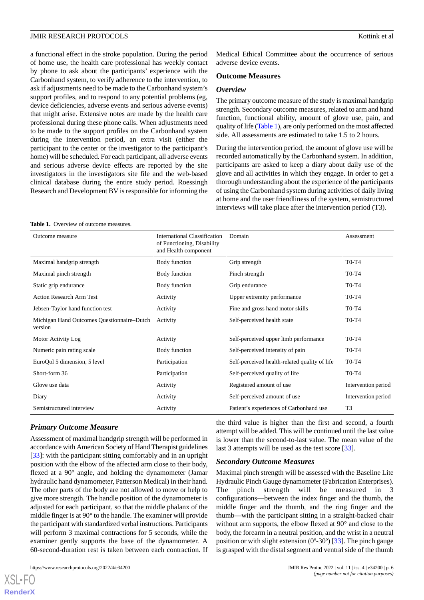a functional effect in the stroke population. During the period of home use, the health care professional has weekly contact by phone to ask about the participants' experience with the Carbonhand system, to verify adherence to the intervention, to ask if adjustments need to be made to the Carbonhand system's support profiles, and to respond to any potential problems (eg, device deficiencies, adverse events and serious adverse events) that might arise. Extensive notes are made by the health care professional during these phone calls. When adjustments need to be made to the support profiles on the Carbonhand system during the intervention period, an extra visit (either the participant to the center or the investigator to the participant's home) will be scheduled. For each participant, all adverse events and serious adverse device effects are reported by the site investigators in the investigators site file and the web-based clinical database during the entire study period. Roessingh Research and Development BV is responsible for informing the

Medical Ethical Committee about the occurrence of serious adverse device events.

#### **Outcome Measures**

#### *Overview*

The primary outcome measure of the study is maximal handgrip strength. Secondary outcome measures, related to arm and hand function, functional ability, amount of glove use, pain, and quality of life ([Table 1](#page-5-0)), are only performed on the most affected side. All assessments are estimated to take 1.5 to 2 hours.

During the intervention period, the amount of glove use will be recorded automatically by the Carbonhand system. In addition, participants are asked to keep a diary about daily use of the glove and all activities in which they engage. In order to get a thorough understanding about the experience of the participants of using the Carbonhand system during activities of daily living at home and the user friendliness of the system, semistructured interviews will take place after the intervention period (T3).

<span id="page-5-0"></span>

| <b>Table 1.</b> Overview of outcome measures. |  |
|-----------------------------------------------|--|
|-----------------------------------------------|--|

| Outcome measure                                       | International Classification<br>of Functioning, Disability<br>and Health component | Domain                                        | Assessment                     |
|-------------------------------------------------------|------------------------------------------------------------------------------------|-----------------------------------------------|--------------------------------|
| Maximal handgrip strength                             | Body function                                                                      | Grip strength                                 | T <sub>0</sub> -T <sub>4</sub> |
| Maximal pinch strength                                | Body function                                                                      | Pinch strength                                | T0-T4                          |
| Static grip endurance                                 | Body function                                                                      | Grip endurance                                | $T0-T4$                        |
| <b>Action Research Arm Test</b>                       | Activity                                                                           | Upper extremity performance                   | T0-T4                          |
| Jebsen-Taylor hand function test                      | Activity                                                                           | Fine and gross hand motor skills              | T0-T4                          |
| Michigan Hand Outcomes Questionnaire–Dutch<br>version | Activity                                                                           | Self-perceived health state                   | T0-T4                          |
| Motor Activity Log                                    | Activity                                                                           | Self-perceived upper limb performance         | T0-T4                          |
| Numeric pain rating scale                             | Body function                                                                      | Self-perceived intensity of pain              | T0-T4                          |
| EuroQol 5 dimension, 5 level                          | Participation                                                                      | Self-perceived health-related quality of life | T0-T4                          |
| Short-form 36                                         | Participation                                                                      | Self-perceived quality of life                | T0-T4                          |
| Glove use data                                        | Activity                                                                           | Registered amount of use                      | Intervention period            |
| Diary                                                 | Activity                                                                           | Self-perceived amount of use                  | Intervention period            |
| Semistructured interview                              | Activity                                                                           | Patient's experiences of Carbonhand use       | T <sub>3</sub>                 |

#### *Primary Outcome Measure*

Assessment of maximal handgrip strength will be performed in accordance with American Society of Hand Therapist guidelines [[33\]](#page-10-19): with the participant sitting comfortably and in an upright position with the elbow of the affected arm close to their body, flexed at a 90° angle, and holding the dynamometer (Jamar hydraulic hand dynamometer, Patterson Medical) in their hand. The other parts of the body are not allowed to move or help to give more strength. The handle position of the dynamometer is adjusted for each participant, so that the middle phalanx of the middle finger is at 90° to the handle. The examiner will provide the participant with standardized verbal instructions. Participants will perform 3 maximal contractions for 5 seconds, while the examiner gently supports the base of the dynamometer. A 60-second-duration rest is taken between each contraction. If

[XSL](http://www.w3.org/Style/XSL)•FO **[RenderX](http://www.renderx.com/)**

the third value is higher than the first and second, a fourth attempt will be added. This will be continued until the last value is lower than the second-to-last value. The mean value of the last 3 attempts will be used as the test score [[33\]](#page-10-19).

#### *Secondary Outcome Measures*

Maximal pinch strength will be assessed with the Baseline Lite Hydraulic Pinch Gauge dynamometer (Fabrication Enterprises). The pinch strength will be measured in 3 configurations—between the index finger and the thumb, the middle finger and the thumb, and the ring finger and the thumb—with the participant sitting in a straight-backed chair without arm supports, the elbow flexed at 90° and close to the body, the forearm in a neutral position, and the wrist in a neutral position or with slight extension  $(0^{\circ} - 30^{\circ})$  [\[33](#page-10-19)]. The pinch gauge is grasped with the distal segment and ventral side of the thumb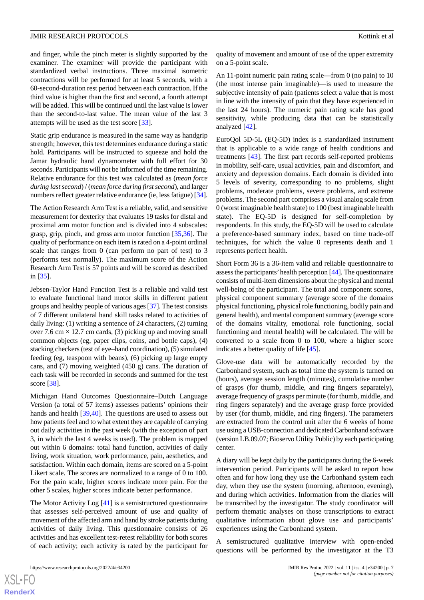and finger, while the pinch meter is slightly supported by the examiner. The examiner will provide the participant with standardized verbal instructions. Three maximal isometric contractions will be performed for at least 5 seconds, with a 60-second-duration rest period between each contraction. If the third value is higher than the first and second, a fourth attempt will be added. This will be continued until the last value is lower than the second-to-last value. The mean value of the last 3 attempts will be used as the test score [[33\]](#page-10-19).

Static grip endurance is measured in the same way as handgrip strength; however, this test determines endurance during a static hold. Participants will be instructed to squeeze and hold the Jamar hydraulic hand dynamometer with full effort for 30 seconds. Participants will not be informed of the time remaining. Relative endurance for this test was calculated as (*mean force during last second*) / (*mean force during first second*), and larger numbers reflect greater relative endurance (ie, less fatigue) [\[34\]](#page-11-0).

The Action Research Arm Test is a reliable, valid, and sensitive measurement for dexterity that evaluates 19 tasks for distal and proximal arm motor function and is divided into 4 subscales: grasp, grip, pinch, and gross arm motor function [[35](#page-11-1)[,36](#page-11-2)]. The quality of performance on each item is rated on a 4-point ordinal scale that ranges from 0 (can perform no part of test) to 3 (performs test normally). The maximum score of the Action Research Arm Test is 57 points and will be scored as described in [\[35](#page-11-1)].

Jebsen-Taylor Hand Function Test is a reliable and valid test to evaluate functional hand motor skills in different patient groups and healthy people of various ages [\[37\]](#page-11-3). The test consists of 7 different unilateral hand skill tasks related to activities of daily living: (1) writing a sentence of 24 characters, (2) turning over 7.6 cm  $\times$  12.7 cm cards, (3) picking up and moving small common objects (eg, paper clips, coins, and bottle caps), (4) stacking checkers (test of eye–hand coordination), (5) simulated feeding (eg, teaspoon with beans), (6) picking up large empty cans, and (7) moving weighted (450 g) cans. The duration of each task will be recorded in seconds and summed for the test score [\[38](#page-11-4)].

Michigan Hand Outcomes Questionnaire–Dutch Language Version (a total of 57 items) assesses patients' opinions their hands and health [[39](#page-11-5)[,40](#page-11-6)]. The questions are used to assess out how patients feel and to what extent they are capable of carrying out daily activities in the past week (with the exception of part 3, in which the last 4 weeks is used). The problem is mapped out within 6 domains: total hand function, activities of daily living, work situation, work performance, pain, aesthetics, and satisfaction. Within each domain, items are scored on a 5-point Likert scale. The scores are normalized to a range of 0 to 100. For the pain scale, higher scores indicate more pain. For the other 5 scales, higher scores indicate better performance.

The Motor Activity Log [[41\]](#page-11-7) is a semistructured questionnaire that assesses self-perceived amount of use and quality of movement of the affected arm and hand by stroke patients during activities of daily living. This questionnaire consists of 26 activities and has excellent test-retest reliability for both scores of each activity; each activity is rated by the participant for

https://www.researchprotocols.org/2022/4/e34200 JMIR Res Protoc 2022 | vol. 11 | iss. 4 | e34200 | p. 7

 $XS$  $\cdot$ FC **[RenderX](http://www.renderx.com/)**

quality of movement and amount of use of the upper extremity on a 5-point scale.

An 11-point numeric pain rating scale—from 0 (no pain) to 10 (the most intense pain imaginable)—is used to measure the subjective intensity of pain (patients select a value that is most in line with the intensity of pain that they have experienced in the last 24 hours). The numeric pain rating scale has good sensitivity, while producing data that can be statistically analyzed [\[42](#page-11-8)].

EuroQol 5D-5L (EQ-5D) index is a standardized instrument that is applicable to a wide range of health conditions and treatments [[43\]](#page-11-9). The first part records self-reported problems in mobility, self-care, usual activities, pain and discomfort, and anxiety and depression domains. Each domain is divided into 5 levels of severity, corresponding to no problems, slight problems, moderate problems, severe problems, and extreme problems. The second part comprises a visual analog scale from 0 (worst imaginable health state) to 100 (best imaginable health state). The EQ-5D is designed for self-completion by respondents. In this study, the EQ-5D will be used to calculate a preference-based summary index, based on time trade-off techniques, for which the value 0 represents death and 1 represents perfect health.

Short Form 36 is a 36-item valid and reliable questionnaire to assess the participants'health perception [[44](#page-11-10)]. The questionnaire consists of multi-item dimensions about the physical and mental well-being of the participant. The total and component scores, physical component summary (average score of the domains physical functioning, physical role functioning, bodily pain and general health), and mental component summary (average score of the domains vitality, emotional role functioning, social functioning and mental health) will be calculated. The will be converted to a scale from 0 to 100, where a higher score indicates a better quality of life [\[45](#page-11-11)].

Glove-use data will be automatically recorded by the Carbonhand system, such as total time the system is turned on (hours), average session length (minutes), cumulative number of grasps (for thumb, middle, and ring fingers separately), average frequency of grasps per minute (for thumb, middle, and ring fingers separately) and the average grasp force provided by user (for thumb, middle, and ring fingers). The parameters are extracted from the control unit after the 6 weeks of home use using a USB-connection and dedicated Carbonhand software (version LB.09.07; Bioservo Utility Public) by each participating center.

A diary will be kept daily by the participants during the 6-week intervention period. Participants will be asked to report how often and for how long they use the Carbonhand system each day, when they use the system (morning, afternoon, evening), and during which activities. Information from the diaries will be transcribed by the investigator. The study coordinator will perform thematic analyses on those transcriptions to extract qualitative information about glove use and participants' experiences using the Carbonhand system.

A semistructured qualitative interview with open-ended questions will be performed by the investigator at the T3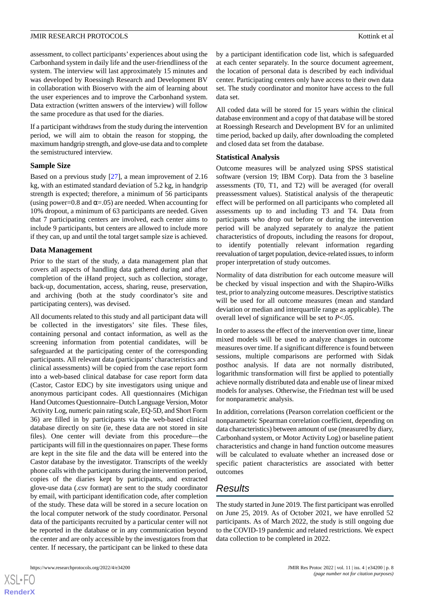assessment, to collect participants' experiences about using the Carbonhand system in daily life and the user-friendliness of the system. The interview will last approximately 15 minutes and was developed by Roessingh Research and Development BV in collaboration with Bioservo with the aim of learning about the user experiences and to improve the Carbonhand system. Data extraction (written answers of the interview) will follow the same procedure as that used for the diaries.

If a participant withdraws from the study during the intervention period, we will aim to obtain the reason for stopping, the maximum handgrip strength, and glove-use data and to complete the semistructured interview.

#### **Sample Size**

Based on a previous study [[27\]](#page-10-13), a mean improvement of 2.16 kg, with an estimated standard deviation of 5.2 kg, in handgrip strength is expected; therefore, a minimum of 56 participants (using power=0.8 and  $\alpha$ =.05) are needed. When accounting for 10% dropout, a minimum of 63 participants are needed. Given that 7 participating centers are involved, each center aims to include 9 participants, but centers are allowed to include more if they can, up and until the total target sample size is achieved.

#### **Data Management**

Prior to the start of the study, a data management plan that covers all aspects of handling data gathered during and after completion of the iHand project, such as collection, storage, back-up, documentation, access, sharing, reuse, preservation, and archiving (both at the study coordinator's site and participating centers), was devised.

All documents related to this study and all participant data will be collected in the investigators' site files. These files, containing personal and contact information, as well as the screening information from potential candidates, will be safeguarded at the participating center of the corresponding participants. All relevant data (participants' characteristics and clinical assessments) will be copied from the case report form into a web-based clinical database for case report form data (Castor, Castor EDC) by site investigators using unique and anonymous participant codes. All questionnaires (Michigan Hand Outcomes Questionnaire–Dutch Language Version, Motor Activity Log, numeric pain rating scale, EQ-5D, and Short Form 36) are filled in by participants via the web-based clinical database directly on site (ie, these data are not stored in site files). One center will deviate from this procedure—the participants will fill in the questionnaires on paper. These forms are kept in the site file and the data will be entered into the Castor database by the investigator. Transcripts of the weekly phone calls with the participants during the intervention period, copies of the diaries kept by participants, and extracted glove-use data (.csv format) are sent to the study coordinator by email, with participant identification code, after completion of the study. These data will be stored in a secure location on the local computer network of the study coordinator. Personal data of the participants recruited by a particular center will not be reported in the database or in any communication beyond the center and are only accessible by the investigators from that center. If necessary, the participant can be linked to these data

by a participant identification code list, which is safeguarded at each center separately. In the source document agreement, the location of personal data is described by each individual center. Participating centers only have access to their own data set. The study coordinator and monitor have access to the full data set.

All coded data will be stored for 15 years within the clinical database environment and a copy of that database will be stored at Roessingh Research and Development BV for an unlimited time period, backed up daily, after downloading the completed and closed data set from the database.

#### **Statistical Analysis**

Outcome measures will be analyzed using SPSS statistical software (version 19; IBM Corp). Data from the 3 baseline assessments (T0, T1, and T2) will be averaged (for overall preassessment values). Statistical analysis of the therapeutic effect will be performed on all participants who completed all assessments up to and including T3 and T4. Data from participants who drop out before or during the intervention period will be analyzed separately to analyze the patient characteristics of dropouts, including the reasons for dropout, to identify potentially relevant information regarding reevaluation of target population, device-related issues, to inform proper interpretation of study outcomes.

Normality of data distribution for each outcome measure will be checked by visual inspection and with the Shapiro-Wilks test, prior to analyzing outcome measures. Descriptive statistics will be used for all outcome measures (mean and standard deviation or median and interquartile range as applicable). The overall level of significance will be set to *P*<.05.

In order to assess the effect of the intervention over time, linear mixed models will be used to analyze changes in outcome measures over time. If a significant difference is found between sessions, multiple comparisons are performed with Sidak posthoc analysis. If data are not normally distributed, logarithmic transformation will first be applied to potentially achieve normally distributed data and enable use of linear mixed models for analyses. Otherwise, the Friedman test will be used for nonparametric analysis.

In addition, correlations (Pearson correlation coefficient or the nonparametric Spearman correlation coefficient, depending on data characteristics) between amount of use (measured by diary, Carbonhand system, or Motor Activity Log) or baseline patient characteristics and change in hand function outcome measures will be calculated to evaluate whether an increased dose or specific patient characteristics are associated with better outcomes

# *Results*

The study started in June 2019. The first participant was enrolled on June 25, 2019. As of October 2021, we have enrolled 52 participants. As of March 2022, the study is still ongoing due to the COVID-19 pandemic and related restrictions. We expect data collection to be completed in 2022.

 $XSI - F($ **[RenderX](http://www.renderx.com/)**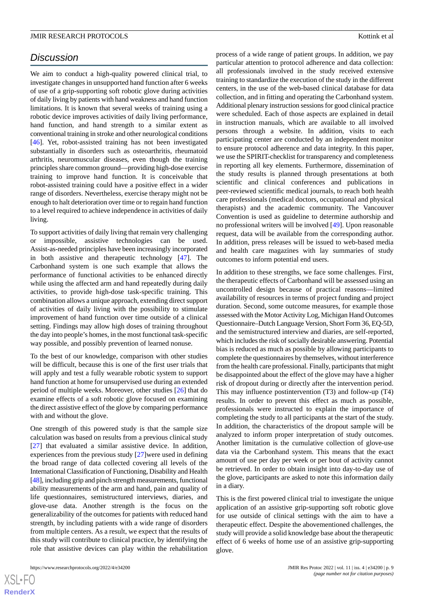# *Discussion*

We aim to conduct a high-quality powered clinical trial, to investigate changes in unsupported hand function after 6 weeks of use of a grip-supporting soft robotic glove during activities of daily living by patients with hand weakness and hand function limitations. It is known that several weeks of training using a robotic device improves activities of daily living performance, hand function, and hand strength to a similar extent as conventional training in stroke and other neurological conditions [[46\]](#page-11-12). Yet, robot-assisted training has not been investigated substantially in disorders such as osteoarthritis, rheumatoid arthritis, neuromuscular diseases, even though the training principles share common ground—providing high-dose exercise training to improve hand function. It is conceivable that robot-assisted training could have a positive effect in a wider range of disorders. Nevertheless, exercise therapy might not be enough to halt deterioration over time or to regain hand function to a level required to achieve independence in activities of daily living.

To support activities of daily living that remain very challenging or impossible, assistive technologies can be used. Assist-as-needed principles have been increasingly incorporated in both assistive and therapeutic technology [[47\]](#page-11-13). The Carbonhand system is one such example that allows the performance of functional activities to be enhanced directly while using the affected arm and hand repeatedly during daily activities, to provide high-dose task-specific training. This combination allows a unique approach, extending direct support of activities of daily living with the possibility to stimulate improvement of hand function over time outside of a clinical setting. Findings may allow high doses of training throughout the day into people's homes, in the most functional task-specific way possible, and possibly prevention of learned nonuse.

To the best of our knowledge, comparison with other studies will be difficult, because this is one of the first user trials that will apply and test a fully wearable robotic system to support hand function at home for unsupervised use during an extended period of multiple weeks. Moreover, other studies [\[26](#page-10-12)] that do examine effects of a soft robotic glove focused on examining the direct assistive effect of the glove by comparing performance with and without the glove.

One strength of this powered study is that the sample size calculation was based on results from a previous clinical study [[27\]](#page-10-13) that evaluated a similar assistive device. In addition, experiences from the previous study [\[27](#page-10-13)] were used in defining the broad range of data collected covering all levels of the International Classification of Functioning, Disability and Health [[48\]](#page-11-14), including grip and pinch strength measurements, functional ability measurements of the arm and hand, pain and quality of life questionnaires, semistructured interviews, diaries, and glove-use data. Another strength is the focus on the generalizability of the outcomes for patients with reduced hand strength, by including patients with a wide range of disorders from multiple centers. As a result, we expect that the results of this study will contribute to clinical practice, by identifying the role that assistive devices can play within the rehabilitation

process of a wide range of patient groups. In addition, we pay particular attention to protocol adherence and data collection: all professionals involved in the study received extensive training to standardize the execution of the study in the different centers, in the use of the web-based clinical database for data collection, and in fitting and operating the Carbonhand system. Additional plenary instruction sessions for good clinical practice were scheduled. Each of those aspects are explained in detail in instruction manuals, which are available to all involved persons through a website. In addition, visits to each participating center are conducted by an independent monitor to ensure protocol adherence and data integrity. In this paper, we use the SPIRIT-checklist for transparency and completeness in reporting all key elements. Furthermore, dissemination of the study results is planned through presentations at both scientific and clinical conferences and publications in peer-reviewed scientific medical journals, to reach both health care professionals (medical doctors, occupational and physical therapists) and the academic community. The Vancouver Convention is used as guideline to determine authorship and no professional writers will be involved [\[49](#page-11-15)]. Upon reasonable request, data will be available from the corresponding author. In addition, press releases will be issued to web-based media and health care magazines with lay summaries of study outcomes to inform potential end users.

In addition to these strengths, we face some challenges. First, the therapeutic effects of Carbonhand will be assessed using an uncontrolled design because of practical reasons—limited availability of resources in terms of project funding and project duration. Second, some outcome measures, for example those assessed with the Motor Activity Log, Michigan Hand Outcomes Questionnaire–Dutch Language Version, Short Form 36, EQ-5D, and the semistructured interview and diaries, are self-reported, which includes the risk of socially desirable answering. Potential bias is reduced as much as possible by allowing participants to complete the questionnaires by themselves, without interference from the health care professional. Finally, participants that might be disappointed about the effect of the glove may have a higher risk of dropout during or directly after the intervention period. This may influence postintervention (T3) and follow-up (T4) results. In order to prevent this effect as much as possible, professionals were instructed to explain the importance of completing the study to all participants at the start of the study. In addition, the characteristics of the dropout sample will be analyzed to inform proper interpretation of study outcomes. Another limitation is the cumulative collection of glove-use data via the Carbonhand system. This means that the exact amount of use per day per week or per bout of activity cannot be retrieved. In order to obtain insight into day-to-day use of the glove, participants are asked to note this information daily in a diary.

This is the first powered clinical trial to investigate the unique application of an assistive grip-supporting soft robotic glove for use outside of clinical settings with the aim to have a therapeutic effect. Despite the abovementioned challenges, the study will provide a solid knowledge base about the therapeutic effect of 6 weeks of home use of an assistive grip-supporting glove.

```
XS\cdotFC
RenderX
```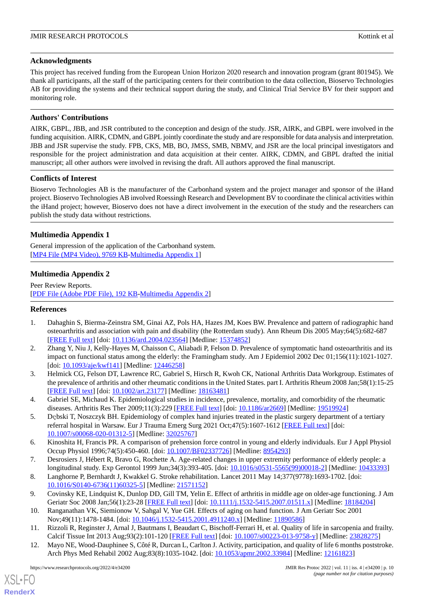#### **Acknowledgments**

This project has received funding from the European Union Horizon 2020 research and innovation program (grant 801945). We thank all participants, all the staff of the participating centers for their contribution to the data collection, Bioservo Technologies AB for providing the systems and their technical support during the study, and Clinical Trial Service BV for their support and monitoring role.

# **Authors' Contributions**

AIRK, GBPL, JBB, and JSR contributed to the conception and design of the study. JSR, AIRK, and GBPL were involved in the funding acquisition. AIRK, CDMN, and GBPL jointly coordinate the study and are responsible for data analysis and interpretation. JBB and JSR supervise the study. FPB, CKS, MB, BO, JMSS, SMB, NBMV, and JSR are the local principal investigators and responsible for the project administration and data acquisition at their center. AIRK, CDMN, and GBPL drafted the initial manuscript; all other authors were involved in revising the draft. All authors approved the final manuscript.

# **Conflicts of Interest**

<span id="page-9-10"></span>Bioservo Technologies AB is the manufacturer of the Carbonhand system and the project manager and sponsor of the iHand project. Bioservo Technologies AB involved Roessingh Research and Development BV to coordinate the clinical activities within the iHand project; however, Bioservo does not have a direct involvement in the execution of the study and the researchers can publish the study data without restrictions.

# **Multimedia Appendix 1**

General impression of the application of the Carbonhand system. [[MP4 File \(MP4 Video\), 9769 KB-Multimedia Appendix 1](https://jmir.org/api/download?alt_name=resprot_v11i4e34200_app1.mp4&filename=70309357754e5409cca3490b95ae96d5.mp4)]

# **Multimedia Appendix 2**

<span id="page-9-0"></span>Peer Review Reports. [[PDF File \(Adobe PDF File\), 192 KB](https://jmir.org/api/download?alt_name=resprot_v11i4e34200_app2.pdf&filename=c0ea54c6c34a453a7be1df8f9602997d.pdf)-[Multimedia Appendix 2\]](https://jmir.org/api/download?alt_name=resprot_v11i4e34200_app2.pdf&filename=c0ea54c6c34a453a7be1df8f9602997d.pdf)

# <span id="page-9-1"></span>**References**

- 1. Dahaghin S, Bierma-Zeinstra SM, Ginai AZ, Pols HA, Hazes JM, Koes BW. Prevalence and pattern of radiographic hand osteoarthritis and association with pain and disability (the Rotterdam study). Ann Rheum Dis 2005 May;64(5):682-687 [[FREE Full text](https://ard.bmj.com/lookup/pmidlookup?view=long&pmid=15374852)] [doi: [10.1136/ard.2004.023564](http://dx.doi.org/10.1136/ard.2004.023564)] [Medline: [15374852](http://www.ncbi.nlm.nih.gov/entrez/query.fcgi?cmd=Retrieve&db=PubMed&list_uids=15374852&dopt=Abstract)]
- <span id="page-9-3"></span><span id="page-9-2"></span>2. Zhang Y, Niu J, Kelly-Hayes M, Chaisson C, Aliabadi P, Felson D. Prevalence of symptomatic hand osteoarthritis and its impact on functional status among the elderly: the Framingham study. Am J Epidemiol 2002 Dec 01;156(11):1021-1027. [doi: [10.1093/aje/kwf141](http://dx.doi.org/10.1093/aje/kwf141)] [Medline: [12446258\]](http://www.ncbi.nlm.nih.gov/entrez/query.fcgi?cmd=Retrieve&db=PubMed&list_uids=12446258&dopt=Abstract)
- <span id="page-9-4"></span>3. Helmick CG, Felson DT, Lawrence RC, Gabriel S, Hirsch R, Kwoh CK, National Arthritis Data Workgroup. Estimates of the prevalence of arthritis and other rheumatic conditions in the United States. part I. Arthritis Rheum 2008 Jan;58(1):15-25 [[FREE Full text](https://doi.org/10.1002/art.23177)] [doi: [10.1002/art.23177\]](http://dx.doi.org/10.1002/art.23177) [Medline: [18163481\]](http://www.ncbi.nlm.nih.gov/entrez/query.fcgi?cmd=Retrieve&db=PubMed&list_uids=18163481&dopt=Abstract)
- <span id="page-9-5"></span>4. Gabriel SE, Michaud K. Epidemiological studies in incidence, prevalence, mortality, and comorbidity of the rheumatic diseases. Arthritis Res Ther 2009;11(3):229 [[FREE Full text](https://arthritis-research.biomedcentral.com/articles/10.1186/ar2669)] [doi: [10.1186/ar2669](http://dx.doi.org/10.1186/ar2669)] [Medline: [19519924](http://www.ncbi.nlm.nih.gov/entrez/query.fcgi?cmd=Retrieve&db=PubMed&list_uids=19519924&dopt=Abstract)]
- <span id="page-9-6"></span>5. Dębski T, Noszczyk BH. Epidemiology of complex hand injuries treated in the plastic surgery department of a tertiary referral hospital in Warsaw. Eur J Trauma Emerg Surg 2021 Oct;47(5):1607-1612 [\[FREE Full text\]](http://europepmc.org/abstract/MED/32025767) [doi: [10.1007/s00068-020-01312-5\]](http://dx.doi.org/10.1007/s00068-020-01312-5) [Medline: [32025767\]](http://www.ncbi.nlm.nih.gov/entrez/query.fcgi?cmd=Retrieve&db=PubMed&list_uids=32025767&dopt=Abstract)
- <span id="page-9-7"></span>6. Kinoshita H, Francis PR. A comparison of prehension force control in young and elderly individuals. Eur J Appl Physiol Occup Physiol 1996;74(5):450-460. [doi: [10.1007/BF02337726](http://dx.doi.org/10.1007/BF02337726)] [Medline: [8954293\]](http://www.ncbi.nlm.nih.gov/entrez/query.fcgi?cmd=Retrieve&db=PubMed&list_uids=8954293&dopt=Abstract)
- <span id="page-9-8"></span>7. Desrosiers J, Hébert R, Bravo G, Rochette A. Age-related changes in upper extremity performance of elderly people: a longitudinal study. Exp Gerontol 1999 Jun;34(3):393-405. [doi: [10.1016/s0531-5565\(99\)00018-2\]](http://dx.doi.org/10.1016/s0531-5565(99)00018-2) [Medline: [10433393\]](http://www.ncbi.nlm.nih.gov/entrez/query.fcgi?cmd=Retrieve&db=PubMed&list_uids=10433393&dopt=Abstract)
- 8. Langhorne P, Bernhardt J, Kwakkel G. Stroke rehabilitation. Lancet 2011 May 14;377(9778):1693-1702. [doi: [10.1016/S0140-6736\(11\)60325-5\]](http://dx.doi.org/10.1016/S0140-6736(11)60325-5) [Medline: [21571152](http://www.ncbi.nlm.nih.gov/entrez/query.fcgi?cmd=Retrieve&db=PubMed&list_uids=21571152&dopt=Abstract)]
- <span id="page-9-9"></span>9. Covinsky KE, Lindquist K, Dunlop DD, Gill TM, Yelin E. Effect of arthritis in middle age on older-age functioning. J Am Geriatr Soc 2008 Jan;56(1):23-28 [\[FREE Full text\]](http://europepmc.org/abstract/MED/18184204) [doi: [10.1111/j.1532-5415.2007.01511.x](http://dx.doi.org/10.1111/j.1532-5415.2007.01511.x)] [Medline: [18184204\]](http://www.ncbi.nlm.nih.gov/entrez/query.fcgi?cmd=Retrieve&db=PubMed&list_uids=18184204&dopt=Abstract)
- 10. Ranganathan VK, Siemionow V, Sahgal V, Yue GH. Effects of aging on hand function. J Am Geriatr Soc 2001 Nov;49(11):1478-1484. [doi: [10.1046/j.1532-5415.2001.4911240.x\]](http://dx.doi.org/10.1046/j.1532-5415.2001.4911240.x) [Medline: [11890586\]](http://www.ncbi.nlm.nih.gov/entrez/query.fcgi?cmd=Retrieve&db=PubMed&list_uids=11890586&dopt=Abstract)
- 11. Rizzoli R, Reginster J, Arnal J, Bautmans I, Beaudart C, Bischoff-Ferrari H, et al. Quality of life in sarcopenia and frailty. Calcif Tissue Int 2013 Aug;93(2):101-120 [\[FREE Full text\]](http://europepmc.org/abstract/MED/23828275) [doi: [10.1007/s00223-013-9758-y](http://dx.doi.org/10.1007/s00223-013-9758-y)] [Medline: [23828275](http://www.ncbi.nlm.nih.gov/entrez/query.fcgi?cmd=Retrieve&db=PubMed&list_uids=23828275&dopt=Abstract)]
- 12. Mayo NE, Wood-Dauphinee S, Côté R, Durcan L, Carlton J. Activity, participation, and quality of life 6 months poststroke. Arch Phys Med Rehabil 2002 Aug;83(8):1035-1042. [doi: [10.1053/apmr.2002.33984](http://dx.doi.org/10.1053/apmr.2002.33984)] [Medline: [12161823](http://www.ncbi.nlm.nih.gov/entrez/query.fcgi?cmd=Retrieve&db=PubMed&list_uids=12161823&dopt=Abstract)]

[XSL](http://www.w3.org/Style/XSL)•FO **[RenderX](http://www.renderx.com/)**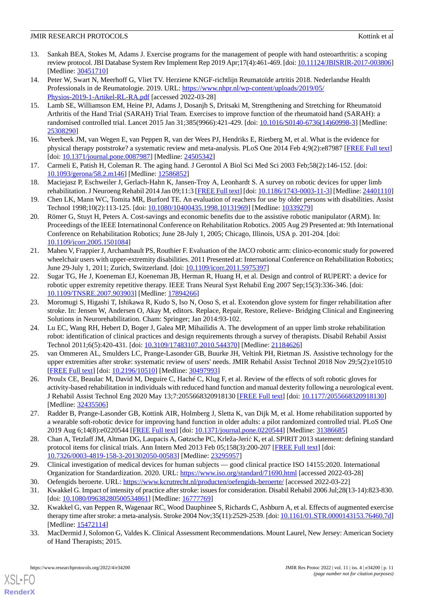- <span id="page-10-0"></span>13. Sankah BEA, Stokes M, Adams J. Exercise programs for the management of people with hand osteoarthritis: a scoping review protocol. JBI Database System Rev Implement Rep 2019 Apr;17(4):461-469. [doi: [10.11124/JBISRIR-2017-003806\]](http://dx.doi.org/10.11124/JBISRIR-2017-003806) [Medline: [30451710](http://www.ncbi.nlm.nih.gov/entrez/query.fcgi?cmd=Retrieve&db=PubMed&list_uids=30451710&dopt=Abstract)]
- <span id="page-10-1"></span>14. Peter W, Swart N, Meerhoff G, Vliet TV. Herziene KNGF-richtlijn Reumatoïde artritis 2018. Nederlandse Health Professionals in de Reumatologie. 2019. URL: [https://www.nhpr.nl/wp-content/uploads/2019/05/](https://www.nhpr.nl/wp-content/uploads/2019/05/Physios-2019-1-Artikel-RL-RA.pdf) [Physios-2019-1-Artikel-RL-RA.pdf](https://www.nhpr.nl/wp-content/uploads/2019/05/Physios-2019-1-Artikel-RL-RA.pdf) [accessed 2022-03-28]
- <span id="page-10-2"></span>15. Lamb SE, Williamson EM, Heine PJ, Adams J, Dosanjh S, Dritsaki M, Strengthening and Stretching for Rheumatoid Arthritis of the Hand Trial (SARAH) Trial Team. Exercises to improve function of the rheumatoid hand (SARAH): a randomised controlled trial. Lancet 2015 Jan 31;385(9966):421-429. [doi: [10.1016/S0140-6736\(14\)60998-3\]](http://dx.doi.org/10.1016/S0140-6736(14)60998-3) [Medline: [25308290](http://www.ncbi.nlm.nih.gov/entrez/query.fcgi?cmd=Retrieve&db=PubMed&list_uids=25308290&dopt=Abstract)]
- <span id="page-10-4"></span><span id="page-10-3"></span>16. Veerbeek JM, van Wegen E, van Peppen R, van der Wees PJ, Hendriks E, Rietberg M, et al. What is the evidence for physical therapy poststroke? a systematic review and meta-analysis. PLoS One 2014 Feb 4;9(2):e87987 [[FREE Full text](https://dx.plos.org/10.1371/journal.pone.0087987)] [doi: [10.1371/journal.pone.0087987\]](http://dx.doi.org/10.1371/journal.pone.0087987) [Medline: [24505342\]](http://www.ncbi.nlm.nih.gov/entrez/query.fcgi?cmd=Retrieve&db=PubMed&list_uids=24505342&dopt=Abstract)
- <span id="page-10-5"></span>17. Carmeli E, Patish H, Coleman R. The aging hand. J Gerontol A Biol Sci Med Sci 2003 Feb;58(2):146-152. [doi: [10.1093/gerona/58.2.m146\]](http://dx.doi.org/10.1093/gerona/58.2.m146) [Medline: [12586852](http://www.ncbi.nlm.nih.gov/entrez/query.fcgi?cmd=Retrieve&db=PubMed&list_uids=12586852&dopt=Abstract)]
- <span id="page-10-6"></span>18. Maciejasz P, Eschweiler J, Gerlach-Hahn K, Jansen-Troy A, Leonhardt S. A survey on robotic devices for upper limb rehabilitation. J Neuroeng Rehabil 2014 Jan 09;11:3 [\[FREE Full text\]](https://jneuroengrehab.biomedcentral.com/articles/10.1186/1743-0003-11-3) [doi: [10.1186/1743-0003-11-3\]](http://dx.doi.org/10.1186/1743-0003-11-3) [Medline: [24401110](http://www.ncbi.nlm.nih.gov/entrez/query.fcgi?cmd=Retrieve&db=PubMed&list_uids=24401110&dopt=Abstract)]
- <span id="page-10-7"></span>19. Chen LK, Mann WC, Tomita MR, Burford TE. An evaluation of reachers for use by older persons with disabilities. Assist Technol 1998;10(2):113-125. [doi: [10.1080/10400435.1998.10131969](http://dx.doi.org/10.1080/10400435.1998.10131969)] [Medline: [10339279](http://www.ncbi.nlm.nih.gov/entrez/query.fcgi?cmd=Retrieve&db=PubMed&list_uids=10339279&dopt=Abstract)]
- <span id="page-10-8"></span>20. Römer G, Stuyt H, Peters A. Cost-savings and economic benefits due to the assistive robotic manipulator (ARM). In: Proceedings of the IEEE Internatinonal Conference on Rehabilitation Robotics. 2005 Aug 29 Presented at: 9th International Conference on Rehabilitation Robotics; June 28-July 1, 2005; Chicago, Illinois, USA p. 201-204. [doi: [10.1109/icorr.2005.1501084](http://dx.doi.org/10.1109/icorr.2005.1501084)]
- <span id="page-10-9"></span>21. Maheu V, Frappier J, Archambault PS, Routhier F. Evaluation of the JACO robotic arm: clinico-economic study for powered wheelchair users with upper-extremity disabilities. 2011 Presented at: International Conference on Rehabilitation Robotics; June 29-July 1, 2011; Zurich, Switzerland. [doi: [10.1109/icorr.2011.5975397\]](http://dx.doi.org/10.1109/icorr.2011.5975397)
- 22. Sugar TG, He J, Koeneman EJ, Koeneman JB, Herman R, Huang H, et al. Design and control of RUPERT: a device for robotic upper extremity repetitive therapy. IEEE Trans Neural Syst Rehabil Eng 2007 Sep;15(3):336-346. [doi: [10.1109/TNSRE.2007.903903](http://dx.doi.org/10.1109/TNSRE.2007.903903)] [Medline: [17894266](http://www.ncbi.nlm.nih.gov/entrez/query.fcgi?cmd=Retrieve&db=PubMed&list_uids=17894266&dopt=Abstract)]
- <span id="page-10-10"></span>23. Moromugi S, Higashi T, Ishikawa R, Kudo S, Iso N, Ooso S, et al. Exotendon glove system for finger rehabilitation after stroke. In: Jensen W, Andersen O, Akay M, editors. Replace, Repair, Restore, Relieve- Bridging Clinical and Engineering Solutions in Neurorehabilitation. Cham: Springer; Jan 2014:93-102.
- <span id="page-10-11"></span>24. Lu EC, Wang RH, Hebert D, Boger J, Galea MP, Mihailidis A. The development of an upper limb stroke rehabilitation robot: identification of clinical practices and design requirements through a survey of therapists. Disabil Rehabil Assist Technol 2011;6(5):420-431. [doi: [10.3109/17483107.2010.544370](http://dx.doi.org/10.3109/17483107.2010.544370)] [Medline: [21184626](http://www.ncbi.nlm.nih.gov/entrez/query.fcgi?cmd=Retrieve&db=PubMed&list_uids=21184626&dopt=Abstract)]
- <span id="page-10-12"></span>25. van Ommeren AL, Smulders LC, Prange-Lasonder GB, Buurke JH, Veltink PH, Rietman JS. Assistive technology for the upper extremities after stroke: systematic review of users' needs. JMIR Rehabil Assist Technol 2018 Nov 29;5(2):e10510 [[FREE Full text](https://rehab.jmir.org/2018/2/e10510/)] [doi: [10.2196/10510\]](http://dx.doi.org/10.2196/10510) [Medline: [30497993\]](http://www.ncbi.nlm.nih.gov/entrez/query.fcgi?cmd=Retrieve&db=PubMed&list_uids=30497993&dopt=Abstract)
- <span id="page-10-14"></span><span id="page-10-13"></span>26. Proulx CE, Beaulac M, David M, Deguire C, Haché C, Klug F, et al. Review of the effects of soft robotic gloves for activity-based rehabilitation in individuals with reduced hand function and manual dexterity following a neurological event. J Rehabil Assist Technol Eng 2020 May 13;7:2055668320918130 [\[FREE Full text\]](https://journals.sagepub.com/doi/10.1177/2055668320918130?url_ver=Z39.88-2003&rfr_id=ori:rid:crossref.org&rfr_dat=cr_pub%3dpubmed) [doi: [10.1177/2055668320918130](http://dx.doi.org/10.1177/2055668320918130)] [Medline: [32435506](http://www.ncbi.nlm.nih.gov/entrez/query.fcgi?cmd=Retrieve&db=PubMed&list_uids=32435506&dopt=Abstract)]
- <span id="page-10-15"></span>27. Radder B, Prange-Lasonder GB, Kottink AIR, Holmberg J, Sletta K, van Dijk M, et al. Home rehabilitation supported by a wearable soft-robotic device for improving hand function in older adults: a pilot randomized controlled trial. PLoS One 2019 Aug 6;14(8):e0220544 [\[FREE Full text\]](https://dx.plos.org/10.1371/journal.pone.0220544) [doi: [10.1371/journal.pone.0220544\]](http://dx.doi.org/10.1371/journal.pone.0220544) [Medline: [31386685\]](http://www.ncbi.nlm.nih.gov/entrez/query.fcgi?cmd=Retrieve&db=PubMed&list_uids=31386685&dopt=Abstract)
- <span id="page-10-17"></span><span id="page-10-16"></span>28. Chan A, Tetzlaff JM, Altman DG, Laupacis A, Gøtzsche PC, Krleža-Jerić K, et al. SPIRIT 2013 statement: defining standard protocol items for clinical trials. Ann Intern Med 2013 Feb 05;158(3):200-207 [[FREE Full text](https://www.acpjournals.org/doi/abs/10.7326/0003-4819-158-3-201302050-00583?url_ver=Z39.88-2003&rfr_id=ori:rid:crossref.org&rfr_dat=cr_pub%3dpubmed)] [doi: [10.7326/0003-4819-158-3-201302050-00583](http://dx.doi.org/10.7326/0003-4819-158-3-201302050-00583)] [Medline: [23295957](http://www.ncbi.nlm.nih.gov/entrez/query.fcgi?cmd=Retrieve&db=PubMed&list_uids=23295957&dopt=Abstract)]
- <span id="page-10-18"></span>29. Clinical investigation of medical devices for human subjects — good clinical practice ISO 14155:2020. International Organization for Standardization. 2020. URL:<https://www.iso.org/standard/71690.html> [accessed 2022-03-28]
- <span id="page-10-19"></span>30. Oefengids beroerte. URL:<https://www.kcrutrecht.nl/producten/oefengids-beroerte/> [accessed 2022-03-22]
- 31. Kwakkel G. Impact of intensity of practice after stroke: issues for consideration. Disabil Rehabil 2006 Jul;28(13-14):823-830. [doi: [10.1080/09638280500534861](http://dx.doi.org/10.1080/09638280500534861)] [Medline: [16777769\]](http://www.ncbi.nlm.nih.gov/entrez/query.fcgi?cmd=Retrieve&db=PubMed&list_uids=16777769&dopt=Abstract)
- 32. Kwakkel G, van Peppen R, Wagenaar RC, Wood Dauphinee S, Richards C, Ashburn A, et al. Effects of augmented exercise therapy time after stroke: a meta-analysis. Stroke 2004 Nov;35(11):2529-2539. [doi: [10.1161/01.STR.0000143153.76460.7d](http://dx.doi.org/10.1161/01.STR.0000143153.76460.7d)] [Medline: [15472114](http://www.ncbi.nlm.nih.gov/entrez/query.fcgi?cmd=Retrieve&db=PubMed&list_uids=15472114&dopt=Abstract)]
- 33. MacDermid J, Solomon G, Valdes K. Clinical Assessment Recommendations. Mount Laurel, New Jersey: American Society of Hand Therapists; 2015.

[XSL](http://www.w3.org/Style/XSL)•FO **[RenderX](http://www.renderx.com/)**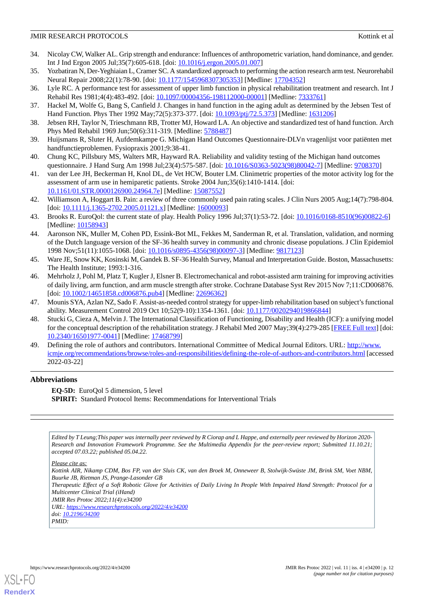- <span id="page-11-0"></span>34. Nicolay CW, Walker AL. Grip strength and endurance: Influences of anthropometric variation, hand dominance, and gender. Int J Ind Ergon 2005 Jul;35(7):605-618. [doi: [10.1016/j.ergon.2005.01.007\]](http://dx.doi.org/10.1016/j.ergon.2005.01.007)
- <span id="page-11-2"></span><span id="page-11-1"></span>35. Yozbatiran N, Der-Yeghiaian L, Cramer SC. A standardized approach to performing the action research arm test. Neurorehabil Neural Repair 2008;22(1):78-90. [doi: [10.1177/1545968307305353\]](http://dx.doi.org/10.1177/1545968307305353) [Medline: [17704352](http://www.ncbi.nlm.nih.gov/entrez/query.fcgi?cmd=Retrieve&db=PubMed&list_uids=17704352&dopt=Abstract)]
- <span id="page-11-3"></span>36. Lyle RC. A performance test for assessment of upper limb function in physical rehabilitation treatment and research. Int J Rehabil Res 1981;4(4):483-492. [doi: [10.1097/00004356-198112000-00001\]](http://dx.doi.org/10.1097/00004356-198112000-00001) [Medline: [7333761](http://www.ncbi.nlm.nih.gov/entrez/query.fcgi?cmd=Retrieve&db=PubMed&list_uids=7333761&dopt=Abstract)]
- <span id="page-11-4"></span>37. Hackel M, Wolfe G, Bang S, Canfield J. Changes in hand function in the aging adult as determined by the Jebsen Test of Hand Function. Phys Ther 1992 May;72(5):373-377. [doi: [10.1093/ptj/72.5.373\]](http://dx.doi.org/10.1093/ptj/72.5.373) [Medline: [1631206\]](http://www.ncbi.nlm.nih.gov/entrez/query.fcgi?cmd=Retrieve&db=PubMed&list_uids=1631206&dopt=Abstract)
- <span id="page-11-5"></span>38. Jebsen RH, Taylor N, Trieschmann RB, Trotter MJ, Howard LA. An objective and standardized test of hand function. Arch Phys Med Rehabil 1969 Jun;50(6):311-319. [Medline: [5788487\]](http://www.ncbi.nlm.nih.gov/entrez/query.fcgi?cmd=Retrieve&db=PubMed&list_uids=5788487&dopt=Abstract)
- <span id="page-11-6"></span>39. Huijsmans R, Sluter H, Aufdemkampe G. Michigan Hand Outcomes Questionnaire-DLVn vragenlijst voor patiënten met handfunctieproblemen. Fysiopraxis 2001;9:38-41.
- <span id="page-11-7"></span>40. Chung KC, Pillsbury MS, Walters MR, Hayward RA. Reliability and validity testing of the Michigan hand outcomes questionnaire. J Hand Surg Am 1998 Jul;23(4):575-587. [doi: [10.1016/S0363-5023\(98\)80042-7\]](http://dx.doi.org/10.1016/S0363-5023(98)80042-7) [Medline: [9708370\]](http://www.ncbi.nlm.nih.gov/entrez/query.fcgi?cmd=Retrieve&db=PubMed&list_uids=9708370&dopt=Abstract)
- <span id="page-11-8"></span>41. van der Lee JH, Beckerman H, Knol DL, de Vet HCW, Bouter LM. Clinimetric properties of the motor activity log for the assessment of arm use in hemiparetic patients. Stroke 2004 Jun;35(6):1410-1414. [doi: [10.1161/01.STR.0000126900.24964.7e\]](http://dx.doi.org/10.1161/01.STR.0000126900.24964.7e) [Medline: [15087552](http://www.ncbi.nlm.nih.gov/entrez/query.fcgi?cmd=Retrieve&db=PubMed&list_uids=15087552&dopt=Abstract)]
- <span id="page-11-9"></span>42. Williamson A, Hoggart B. Pain: a review of three commonly used pain rating scales. J Clin Nurs 2005 Aug;14(7):798-804. [doi: [10.1111/j.1365-2702.2005.01121.x](http://dx.doi.org/10.1111/j.1365-2702.2005.01121.x)] [Medline: [16000093](http://www.ncbi.nlm.nih.gov/entrez/query.fcgi?cmd=Retrieve&db=PubMed&list_uids=16000093&dopt=Abstract)]
- <span id="page-11-10"></span>43. Brooks R. EuroQol: the current state of play. Health Policy 1996 Jul;37(1):53-72. [doi: [10.1016/0168-8510\(96\)00822-6\]](http://dx.doi.org/10.1016/0168-8510(96)00822-6) [Medline: [10158943](http://www.ncbi.nlm.nih.gov/entrez/query.fcgi?cmd=Retrieve&db=PubMed&list_uids=10158943&dopt=Abstract)]
- <span id="page-11-11"></span>44. Aaronson NK, Muller M, Cohen PD, Essink-Bot ML, Fekkes M, Sanderman R, et al. Translation, validation, and norming of the Dutch language version of the SF-36 health survey in community and chronic disease populations. J Clin Epidemiol 1998 Nov;51(11):1055-1068. [doi: [10.1016/s0895-4356\(98\)00097-3](http://dx.doi.org/10.1016/s0895-4356(98)00097-3)] [Medline: [9817123](http://www.ncbi.nlm.nih.gov/entrez/query.fcgi?cmd=Retrieve&db=PubMed&list_uids=9817123&dopt=Abstract)]
- <span id="page-11-12"></span>45. Ware JE, Snow KK, Kosinski M, Gandek B. SF-36 Health Survey, Manual and Interpretation Guide. Boston, Massachusetts: The Health Institute; 1993:1-316.
- <span id="page-11-14"></span><span id="page-11-13"></span>46. Mehrholz J, Pohl M, Platz T, Kugler J, Elsner B. Electromechanical and robot-assisted arm training for improving activities of daily living, arm function, and arm muscle strength after stroke. Cochrane Database Syst Rev 2015 Nov 7;11:CD006876. [doi: [10.1002/14651858.cd006876.pub4\]](http://dx.doi.org/10.1002/14651858.cd006876.pub4) [Medline: [22696362](http://www.ncbi.nlm.nih.gov/entrez/query.fcgi?cmd=Retrieve&db=PubMed&list_uids=22696362&dopt=Abstract)]
- 47. Mounis SYA, Azlan NZ, Sado F. Assist-as-needed control strategy for upper-limb rehabilitation based on subject's functional ability. Measurement Control 2019 Oct 10;52(9-10):1354-1361. [doi: [10.1177/0020294019866844](http://dx.doi.org/10.1177/0020294019866844)]
- <span id="page-11-15"></span>48. Stucki G, Cieza A, Melvin J. The International Classification of Functioning, Disability and Health (ICF): a unifying model for the conceptual description of the rehabilitation strategy. J Rehabil Med 2007 May;39(4):279-285 [[FREE Full text](https://www.medicaljournals.se/jrm/content/abstract/10.2340/16501977-0041)] [doi: [10.2340/16501977-0041](http://dx.doi.org/10.2340/16501977-0041)] [Medline: [17468799\]](http://www.ncbi.nlm.nih.gov/entrez/query.fcgi?cmd=Retrieve&db=PubMed&list_uids=17468799&dopt=Abstract)
- 49. Defining the role of authors and contributors. International Committee of Medical Journal Editors. URL: [http://www.](http://www.icmje.org/recommendations/browse/roles-and-responsibilities/defining-the-role-of-authors-and-contributors.html) [icmje.org/recommendations/browse/roles-and-responsibilities/defining-the-role-of-authors-and-contributors.html](http://www.icmje.org/recommendations/browse/roles-and-responsibilities/defining-the-role-of-authors-and-contributors.html) [accessed 2022-03-22]

# **Abbreviations**

**EQ-5D:** EuroQol 5 dimension, 5 level **SPIRIT:** Standard Protocol Items: Recommendations for Interventional Trials

*Edited by T Leung;This paper was internally peer reviewed by R Ciorap and L Happe, and externally peer reviewed by Horizon 2020- Research and Innovation Framework Programme. See the Multimedia Appendix for the peer-review report; Submitted 11.10.21; accepted 07.03.22; published 05.04.22.*

*Please cite as:*

*Kottink AIR, Nikamp CDM, Bos FP, van der Sluis CK, van den Broek M, Onneweer B, Stolwijk-Swüste JM, Brink SM, Voet NBM, Buurke JB, Rietman JS, Prange-Lasonder GB*

*Therapeutic Effect of a Soft Robotic Glove for Activities of Daily Living In People With Impaired Hand Strength: Protocol for a Multicenter Clinical Trial (iHand)*

*JMIR Res Protoc 2022;11(4):e34200*

*URL: <https://www.researchprotocols.org/2022/4/e34200> doi: [10.2196/34200](http://dx.doi.org/10.2196/34200)*

*PMID:*

**[RenderX](http://www.renderx.com/)**